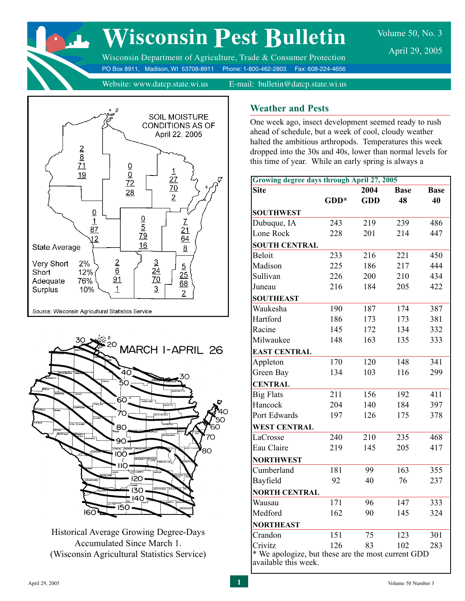

# **Wisconsin Pest Bulletin**

Volume 50, No. 3 April 29, 2005

Wisconsin Department of Agriculture, Trade & Consumer Protection PO Box 8911, Madison, WI 53708-8911 Phone: 1-800-462-2803 Fax: 608-224-4656

Website: www.datcp.state.wi.us E-mail: bulletin@datcp.state.wi.us





Historical Average Growing Degree-Days Accumulated Since March 1. (Wisconsin Agricultural Statistics Service)

#### **Weather and Pests**

One week ago, insect development seemed ready to rush ahead of schedule, but a week of cool, cloudy weather halted the ambitious arthropods. Temperatures this week dropped into the 30s and 40s, lower than normal levels for this time of year. While an early spring is always a

| <b>Site</b>          |        | 2004       | <b>Base</b> | <b>Base</b> |
|----------------------|--------|------------|-------------|-------------|
|                      | $GDD*$ | <b>GDD</b> | 48          | 40          |
| <b>SOUTHWEST</b>     |        |            |             |             |
| Dubuque, IA          | 243    | 219        | 239         | 486         |
| Lone Rock            | 228    | 201        | 214         | 447         |
| <b>SOUTH CENTRAL</b> |        |            |             |             |
| <b>Beloit</b>        | 233    | 216        | 221         | 450         |
| Madison              | 225    | 186        | 217         | 444         |
| Sullivan             | 226    | 200        | 210         | 434         |
| Juneau               | 216    | 184        | 205         | 422         |
| <b>SOUTHEAST</b>     |        |            |             |             |
| Waukesha             | 190    | 187        | 174         | 387         |
| Hartford             | 186    | 173        | 173         | 381         |
| Racine               | 145    | 172        | 134         | 332         |
| Milwaukee            | 148    | 163        | 135         | 333         |
| <b>EAST CENTRAL</b>  |        |            |             |             |
| Appleton             | 170    | 120        | 148         | 341         |
| Green Bay            | 134    | 103        | 116         | 299         |
| <b>CENTRAL</b>       |        |            |             |             |
| <b>Big Flats</b>     | 211    | 156        | 192         | 411         |
| Hancock              | 204    | 140        | 184         | 397         |
| Port Edwards         | 197    | 126        | 175         | 378         |
| <b>WEST CENTRAL</b>  |        |            |             |             |
| LaCrosse             | 240    | 210        | 235         | 468         |
| Eau Claire           | 219    | 145        | 205         | 417         |
| <b>NORTHWEST</b>     |        |            |             |             |
| Cumberland           | 181    | 99         | 163         | 355         |
| Bayfield             | 92     | 40         | 76          | 237         |
| <b>NORTH CENTRAL</b> |        |            |             |             |
| Wausau               | 171    | 96         | 147         | 333         |
| Medford              | 162    | 90         | 145         | 324         |
| <b>NORTHEAST</b>     |        |            |             |             |
| Crandon              | 151    | 75         | 123         | 301         |
|                      | 126    | 83         | 102         | 283         |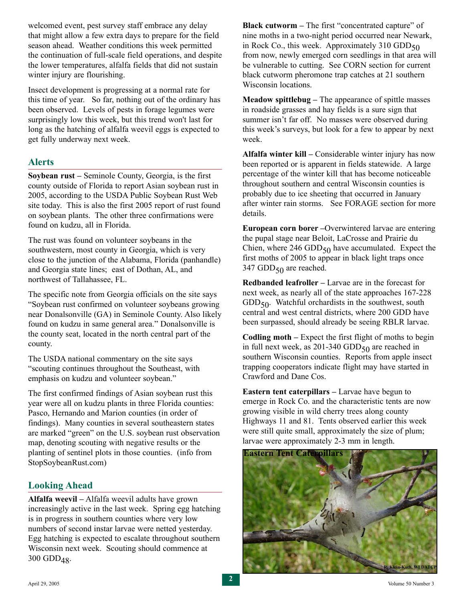welcomed event, pest survey staff embrace any delay that might allow a few extra days to prepare for the field season ahead. Weather conditions this week permitted the continuation of full-scale field operations, and despite the lower temperatures, alfalfa fields that did not sustain winter injury are flourishing.

Insect development is progressing at a normal rate for this time of year. So far, nothing out of the ordinary has been observed. Levels of pests in forage legumes were surprisingly low this week, but this trend won't last for long as the hatching of alfalfa weevil eggs is expected to get fully underway next week.

#### **Alerts**

**Soybean rust –** Seminole County, Georgia, is the first county outside of Florida to report Asian soybean rust in 2005, according to the USDA Public Soybean Rust Web site today. This is also the first 2005 report of rust found on soybean plants. The other three confirmations were found on kudzu, all in Florida.

The rust was found on volunteer soybeans in the southwestern, most county in Georgia, which is very close to the junction of the Alabama, Florida (panhandle) and Georgia state lines; east of Dothan, AL, and northwest of Tallahassee, FL.

The specific note from Georgia officials on the site says "Soybean rust confirmed on volunteer soybeans growing near Donalsonville (GA) in Seminole County. Also likely found on kudzu in same general area." Donalsonville is the county seat, located in the north central part of the county.

The USDA national commentary on the site says "scouting continues throughout the Southeast, with emphasis on kudzu and volunteer soybean."

The first confirmed findings of Asian soybean rust this year were all on kudzu plants in three Florida counties: Pasco, Hernando and Marion counties (in order of findings). Many counties in several southeastern states are marked "green" on the U.S. soybean rust observation map, denoting scouting with negative results or the planting of sentinel plots in those counties. (info from StopSoybeanRust.com)

#### **Looking Ahead**

**Alfalfa weevil –** Alfalfa weevil adults have grown increasingly active in the last week. Spring egg hatching is in progress in southern counties where very low numbers of second instar larvae were netted yesterday. Egg hatching is expected to escalate throughout southern Wisconsin next week. Scouting should commence at  $300$  GDD<sub>48</sub>.

**Black cutworm – The first "concentrated capture" of** nine moths in a two-night period occurred near Newark, in Rock Co., this week. Approximately  $310$  GDD $_{50}$ from now, newly emerged corn seedlings in that area will be vulnerable to cutting. See CORN section for current black cutworm pheromone trap catches at 21 southern Wisconsin locations.

**Meadow spittlebug –** The appearance of spittle masses in roadside grasses and hay fields is a sure sign that summer isn't far off. No masses were observed during this week's surveys, but look for a few to appear by next week.

**Alfalfa winter kill –** Considerable winter injury has now been reported or is apparent in fields statewide. A large percentage of the winter kill that has become noticeable throughout southern and central Wisconsin counties is probably due to ice sheeting that occurred in January after winter rain storms. See FORAGE section for more details.

**European corn borer –**Overwintered larvae are entering the pupal stage near Beloit, LaCrosse and Prairie du Chien, where  $246$  GDD<sub>50</sub> have accumulated. Expect the first moths of 2005 to appear in black light traps once 347 GDD $_{50}$  are reached.

**Redbanded leafroller –** Larvae are in the forecast for next week, as nearly all of the state approaches 167-228  $GDD<sub>50</sub>$ . Watchful orchardists in the southwest, south central and west central districts, where 200 GDD have been surpassed, should already be seeing RBLR larvae.

**Codling moth –** Expect the first flight of moths to begin in full next week, as 201-340 GDD $_{50}$  are reached in southern Wisconsin counties. Reports from apple insect trapping cooperators indicate flight may have started in Crawford and Dane Cos.

**Eastern tent caterpillars –** Larvae have begun to emerge in Rock Co. and the characteristic tents are now growing visible in wild cherry trees along county Highways 11 and 81. Tents observed earlier this week were still quite small, approximately the size of plum; larvae were approximately 2-3 mm in length.

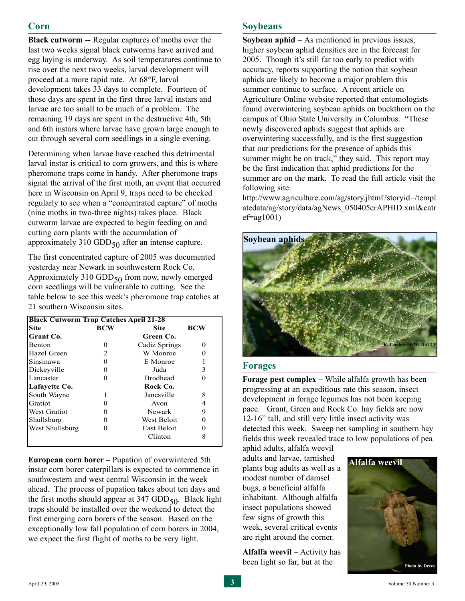## **Corn**

**Black cutworm --** Regular captures of moths over the last two weeks signal black cutworms have arrived and egg laying is underway. As soil temperatures continue to rise over the next two weeks, larval development will proceed at a more rapid rate. At 68°F, larval development takes 33 days to complete. Fourteen of those days are spent in the first three larval instars and larvae are too small to be much of a problem. The remaining 19 days are spent in the destructive 4th, 5th and 6th instars where larvae have grown large enough to cut through several corn seedlings in a single evening.

Determining when larvae have reached this detrimental larval instar is critical to corn growers, and this is where pheromone traps come in handy. After pheromone traps signal the arrival of the first moth, an event that occurred here in Wisconsin on April 9, traps need to be checked regularly to see when a "concentrated capture" of moths (nine moths in two-three nights) takes place. Black cutworm larvae are expected to begin feeding on and cutting corn plants with the accumulation of approximately 310 GDD $_{50}$  after an intense capture.

The first concentrated capture of 2005 was documented yesterday near Newark in southwestern Rock Co. Approximately 310 GDD $_{50}$  from now, newly emerged corn seedlings will be vulnerable to cutting. See the table below to see this week's pheromone trap catches at 21 southern Wisconsin sites.

| <b>Black Cutworm Trap Catches April 21-28</b> |              |                 |     |  |  |  |  |  |
|-----------------------------------------------|--------------|-----------------|-----|--|--|--|--|--|
| <b>Site</b>                                   | <b>BCW</b>   | <b>Site</b>     | BCW |  |  |  |  |  |
| Grant Co.                                     |              | Green Co.       |     |  |  |  |  |  |
| Benton                                        | $\mathbf{0}$ | Cadiz Springs   |     |  |  |  |  |  |
| Hazel Green                                   | 2            | W Monroe        |     |  |  |  |  |  |
| Sinsinawa                                     | 0            | E Monroe        |     |  |  |  |  |  |
| Dickeyville                                   | 0            | Juda            | 3   |  |  |  |  |  |
| Lancaster                                     | 0            | <b>Brodhead</b> |     |  |  |  |  |  |
| Lafayette Co.                                 |              | Rock Co.        |     |  |  |  |  |  |
| South Wayne                                   |              | Janesville      | 8   |  |  |  |  |  |
| Gratiot                                       | 0            | Avon            | 4   |  |  |  |  |  |
| <b>West Gratiot</b>                           |              | Newark          | 9   |  |  |  |  |  |
| Shullsburg                                    | 0            | West Beloit     |     |  |  |  |  |  |
| West Shullsburg                               | 0            | East Beloit     |     |  |  |  |  |  |
|                                               |              | Clinton         | 8   |  |  |  |  |  |

**European corn borer –** Pupation of overwintered 5th instar corn borer caterpillars is expected to commence in southwestern and west central Wisconsin in the week ahead. The process of pupation takes about ten days and the first moths should appear at  $347$  GDD $_{50}$ . Black light traps should be installed over the weekend to detect the first emerging corn borers of the season. Based on the exceptionally low fall population of corn borers in 2004, we expect the first flight of moths to be very light.

### **Soybeans**

**Soybean aphid –** As mentioned in previous issues, higher soybean aphid densities are in the forecast for 2005. Though it's still far too early to predict with accuracy, reports supporting the notion that soybean aphids are likely to become a major problem this summer continue to surface. A recent article on Agriculture Online website reported that entomologists found overwintering soybean aphids on buckthorn on the campus of Ohio State University in Columbus. "These newly discovered aphids suggest that aphids are overwintering successfully, and is the first suggestion that our predictions for the presence of aphids this summer might be on track," they said. This report may be the first indication that aphid predictions for the summer are on the mark. To read the full article visit the following site:

<http://www.agriculture.com/ag/story.jhtml?storyid=/templ> atedata/ag/story/data/agNews\_050405crAPHID.xml&catr  $ef = ag1001$ 



#### **Forages**

**Forage pest complex –** While alfalfa growth has been progressing at an expeditious rate this season, insect development in forage legumes has not been keeping pace. Grant, Green and Rock Co. hay fields are now 12-16" tall, and still very little insect activity was detected this week. Sweep net sampling in southern hay fields this week revealed trace to low populations of pea

aphid adults, alfalfa weevil adults and larvae, tarnished plants bug adults as well as a modest number of damsel bugs, a beneficial alfalfa inhabitant. Although alfalfa insect populations showed few signs of growth this week, several critical events are right around the corner.

**Alfalfa weevil –** Activity has been light so far, but at the

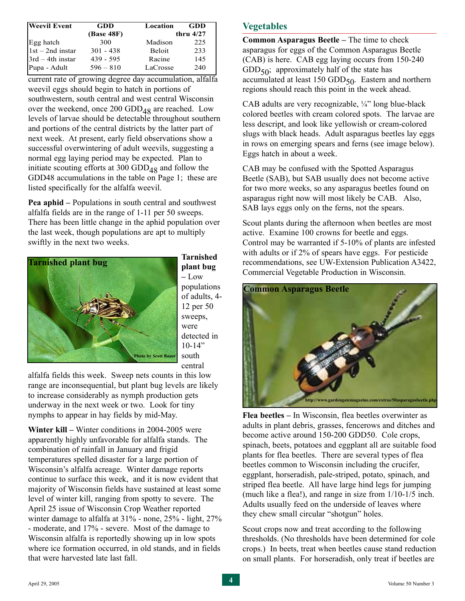| <b>Weevil Event</b> | <b>GDD</b>        | Location      | GDD         |
|---------------------|-------------------|---------------|-------------|
|                     | <b>(Base 48F)</b> |               | thru $4/27$ |
| Egg hatch           | 300               | Madison       | 225         |
| $1st - 2nd$ instar  | $301 - 438$       | <b>Beloit</b> | 233         |
| $3rd - 4th$ instar  | $439 - 595$       | Racine        | 145         |
| Pupa - Adult        | $596 - 810$       | LaCrosse      | 240         |

current rate of growing degree day accumulation, alfalfa weevil eggs should begin to hatch in portions of southwestern, south central and west central Wisconsin over the weekend, once  $200$  GDD<sub>48</sub> are reached. Low levels of larvae should be detectable throughout southern and portions of the central districts by the latter part of next week. At present, early field observations show a successful overwintering of adult weevils, suggesting a normal egg laying period may be expected. Plan to initiate scouting efforts at 300  $GDD_{48}$  and follow the GDD48 accumulations in the table on Page 1; these are listed specifically for the alfalfa weevil.

**Pea aphid –** Populations in south central and southwest alfalfa fields are in the range of 1-11 per 50 sweeps. There has been little change in the aphid population over the last week, though populations are apt to multiply swiftly in the next two weeks.



**Tarnished plant bug –** Low populations of adults, 4- 12 per 50 sweeps, were detected in  $10-14"$ south central

alfalfa fields this week. Sweep nets counts in this low range are inconsequential, but plant bug levels are likely to increase considerably as nymph production gets underway in the next week or two. Look for tiny nymphs to appear in hay fields by mid-May.

**Winter kill –** Winter conditions in 2004-2005 were apparently highly unfavorable for alfalfa stands. The combination of rainfall in January and frigid temperatures spelled disaster for a large portion of Wisconsin's alfalfa acreage. Winter damage reports continue to surface this week, and it is now evident that majority of Wisconsin fields have sustained at least some level of winter kill, ranging from spotty to severe. The April 25 issue of Wisconsin Crop Weather reported winter damage to alfalfa at 31% - none, 25% - light, 27% - moderate, and 17% - severe. Most of the damage to Wisconsin alfalfa is reportedly showing up in low spots where ice formation occurred, in old stands, and in fields that were harvested late last fall.

# **Vegetables**

**Common Asparagus Beetle –** The time to check asparagus for eggs of the Common Asparagus Beetle (CAB) is here. CAB egg laying occurs from 150-240  $GDD_{50}$ ; approximately half of the state has accumulated at least 150 GDD<sub>50</sub>. Eastern and northern regions should reach this point in the week ahead.

CAB adults are very recognizable, ¼" long blue-black colored beetles with cream colored spots. The larvae are less descript, and look like yellowish or cream-colored slugs with black heads. Adult asparagus beetles lay eggs in rows on emerging spears and ferns (see image below). Eggs hatch in about a week.

CAB may be confused with the Spotted Asparagus Beetle (SAB), but SAB usually does not become active for two more weeks, so any asparagus beetles found on asparagus right now will most likely be CAB. Also, SAB lays eggs only on the ferns, not the spears.

Scout plants during the afternoon when beetles are most active. Examine 100 crowns for beetle and eggs. Control may be warranted if 5-10% of plants are infested with adults or if 2% of spears have eggs. For pesticide recommendations, see UW-Extension Publication A3422, Commercial Vegetable Production in Wisconsin.



**Flea beetles –** In Wisconsin, flea beetles overwinter as adults in plant debris, grasses, fencerows and ditches and become active around 150-200 GDD50. Cole crops, spinach, beets, potatoes and eggplant all are suitable food plants for flea beetles. There are several types of flea beetles common to Wisconsin including the crucifer, eggplant, horseradish, pale-striped, potato, spinach, and striped flea beetle. All have large hind legs for jumping (much like a flea!), and range in size from 1/10-1/5 inch. Adults usually feed on the underside of leaves where they chew small circular "shotgun" holes.

Scout crops now and treat according to the following thresholds. (No thresholds have been determined for cole crops.) In beets, treat when beetles cause stand reduction on small plants. For horseradish, only treat if beetles are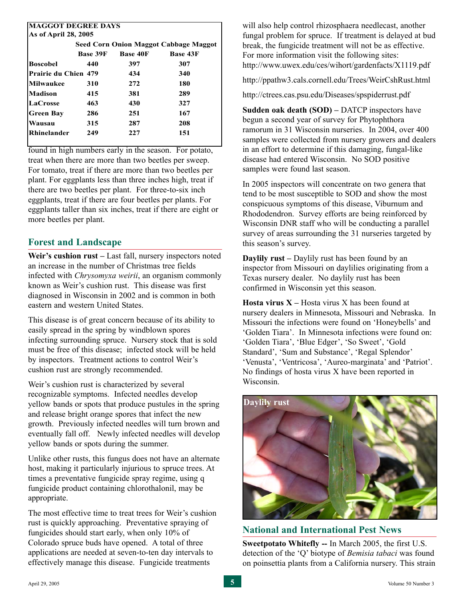| <b>MAGGOT DEGREE DAYS</b>                    |                                                       |     |     |  |  |  |  |  |
|----------------------------------------------|-------------------------------------------------------|-----|-----|--|--|--|--|--|
| As of April 28, 2005                         |                                                       |     |     |  |  |  |  |  |
| <b>Seed Corn Onion Maggot Cabbage Maggot</b> |                                                       |     |     |  |  |  |  |  |
|                                              | <b>Base 39F</b><br><b>Base 43F</b><br><b>Base 40F</b> |     |     |  |  |  |  |  |
| Boscobel                                     | 440                                                   | 397 | 307 |  |  |  |  |  |
| Prairie du Chien 479                         |                                                       | 434 | 340 |  |  |  |  |  |
| Milwaukee                                    | 310                                                   | 272 | 180 |  |  |  |  |  |
| Madison                                      | 415                                                   | 381 | 289 |  |  |  |  |  |
| <b>LaCrosse</b>                              | 463                                                   | 430 | 327 |  |  |  |  |  |
| Green Bay                                    | 286                                                   | 251 | 167 |  |  |  |  |  |
| Wausau                                       | 315                                                   | 287 | 208 |  |  |  |  |  |
| <b>Rhinelander</b>                           | 249                                                   | 227 | 151 |  |  |  |  |  |
|                                              |                                                       |     |     |  |  |  |  |  |

found in high numbers early in the season. For potato, treat when there are more than two beetles per sweep. For tomato, treat if there are more than two beetles per plant. For eggplants less than three inches high, treat if there are two beetles per plant. For three-to-six inch eggplants, treat if there are four beetles per plants. For eggplants taller than six inches, treat if there are eight or more beetles per plant.

#### **Forest and Landscape**

Weir's cushion rust – Last fall, nursery inspectors noted an increase in the number of Christmas tree fields infected with *Chrysomyxa weirii*, an organism commonly known as Weir's cushion rust. This disease was first diagnosed in Wisconsin in 2002 and is common in both eastern and western United States.

This disease is of great concern because of its ability to easily spread in the spring by windblown spores infecting surrounding spruce. Nursery stock that is sold must be free of this disease; infected stock will be held by inspectors. Treatment actions to control Weir's cushion rust are strongly recommended.

Weir's cushion rust is characterized by several recognizable symptoms. Infected needles develop yellow bands or spots that produce pustules in the spring and release bright orange spores that infect the new growth. Previously infected needles will turn brown and eventually fall off. Newly infected needles will develop yellow bands or spots during the summer.

Unlike other rusts, this fungus does not have an alternate host, making it particularly injurious to spruce trees. At times a preventative fungicide spray regime, using q fungicide product containing chlorothalonil, may be appropriate.

The most effective time to treat trees for Weir's cushion rust is quickly approaching. Preventative spraying of fungicides should start early, when only 10% of Colorado spruce buds have opened. A total of three applications are needed at seven-to-ten day intervals to effectively manage this disease. Fungicide treatments

will also help control rhizosphaera needlecast, another fungal problem for spruce. If treatment is delayed at bud break, the fungicide treatment will not be as effective. For more information visit the following sites: <http://www.uwex.edu/ces/wihort/gardenfacts/X1119.pdf>

<http://ppathw3.cals.cornell.edu/Trees/WeirCshRust.html>

<http://ctrees.cas.psu.edu/Diseases/spspiderrust.pdf>

**Sudden oak death (SOD) – DATCP inspectors have** begun a second year of survey for Phytophthora ramorum in 31 Wisconsin nurseries. In 2004, over 400 samples were collected from nursery growers and dealers in an effort to determine if this damaging, fungal-like disease had entered Wisconsin. No SOD positive samples were found last season.

In 2005 inspectors will concentrate on two genera that tend to be most susceptible to SOD and show the most conspicuous symptoms of this disease, Viburnum and Rhododendron. Survey efforts are being reinforced by Wisconsin DNR staff who will be conducting a parallel survey of areas surrounding the 31 nurseries targeted by this season's survey.

**Daylily rust** – Daylily rust has been found by an inspector from Missouri on daylilies originating from a Texas nursery dealer. No daylily rust has been confirmed in Wisconsin yet this season.

**Hosta virus X –** Hosta virus X has been found at nursery dealers in Minnesota, Missouri and Nebraska. In Missouri the infections were found on 'Honeybells' and 'Golden Tiara'. In Minnesota infections were found on: 'Golden Tiara', 'Blue Edger', 'So Sweet', 'Gold Standard', 'Sum and Substance', 'Regal Splendor' 'Venusta', 'Ventricosa', 'Aureo-marginata' and 'Patriot'. No findings of hosta virus X have been reported in Wisconsin.



#### **National and International Pest News**

**Sweetpotato Whitefly --** In March 2005, the first U.S. detection of the 'Q' biotype of *Bemisia tabaci* was found on poinsettia plants from a California nursery. This strain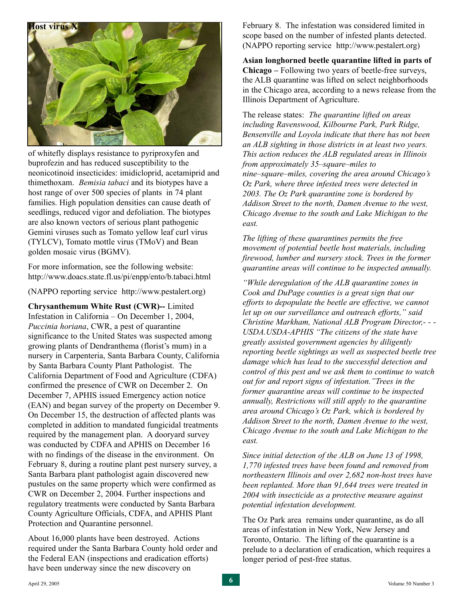

of whitefly displays resistance to pyriproxyfen and buprofezin and has reduced susceptibility to the neonicotinoid insecticides: imidicloprid, acetamiprid and thimethoxam. *Bemisia tabaci* and its biotypes have a host range of over 500 species of plants in 74 plant families. High population densities can cause death of seedlings, reduced vigor and defoliation. The biotypes are also known vectors of serious plant pathogenic Gemini viruses such as Tomato yellow leaf curl virus (TYLCV), Tomato mottle virus (TMoV) and Bean golden mosaic virus (BGMV).

For more information, see the following website: <http://www.doacs.state.fl.us/pi/enpp/ento/b.tabaci.html>

(NAPPO reporting service [http://www.pestalert.org\)](http://www.pestalert.org)

**Chrysanthemum White Rust (CWR)--** Limited Infestation in California – On December 1, 2004, *Puccinia horiana*, CWR, a pest of quarantine significance to the United States was suspected among growing plants of Dendranthema (florist's mum) in a nursery in Carpenteria, Santa Barbara County, California by Santa Barbara County Plant Pathologist. The California Department of Food and Agriculture (CDFA) confirmed the presence of CWR on December 2. On December 7, APHIS issued Emergency action notice (EAN) and began survey of the property on December 9. On December 15, the destruction of affected plants was completed in addition to mandated fungicidal treatments required by the management plan. A dooryard survey was conducted by CDFA and APHIS on December 16 with no findings of the disease in the environment. On February 8, during a routine plant pest nursery survey, a Santa Barbara plant pathologist again discovered new pustules on the same property which were confirmed as CWR on December 2, 2004. Further inspections and regulatory treatments were conducted by Santa Barbara County Agriculture Officials, CDFA, and APHIS Plant Protection and Quarantine personnel.

About 16,000 plants have been destroyed. Actions required under the Santa Barbara County hold order and the Federal EAN (inspections and eradication efforts) have been underway since the new discovery on

February 8. The infestation was considered limited in scope based on the number of infested plants detected. (NAPPO reporting service [http://www.pestalert.org\)](http://www.pestalert.org)

**Asian longhorned beetle quarantine lifted in parts of Chicago –** Following two years of beetle-free surveys, the ALB quarantine was lifted on select neighborhoods in the Chicago area, according to a news release from the Illinois Department of Agriculture.

The release states: *The quarantine lifted on areas including Ravenswood, Kilbourne Park, Park Ridge, Bensenville and Loyola indicate that there has not been an ALB sighting in those districts in at least two years. This action reduces the ALB regulated areas in Illinois from approximately 35–square–miles to nine–square–miles, covering the area around Chicago's Oz Park, where three infested trees were detected in 2003. The Oz Park quarantine zone is bordered by Addison Street to the north, Damen Avenue to the west, Chicago Avenue to the south and Lake Michigan to the east.* 

*The lifting of these quarantines permits the free movement of potential beetle host materials, including firewood, lumber and nursery stock. Trees in the former quarantine areas will continue to be inspected annually.* 

*"While deregulation of the ALB quarantine zones in Cook and DuPage counties is a great sign that our efforts to depopulate the beetle are effective, we cannot let up on our surveillance and outreach efforts," said Christine Markham, National ALB Program Director,- - - USDA.USDA-APHIS "The citizens of the state have greatly assisted government agencies by diligently reporting beetle sightings as well as suspected beetle tree damage which has lead to the successful detection and control of this pest and we ask them to continue to watch out for and report signs of infestation."Trees in the former quarantine areas will continue to be inspected annually, Restrictions will still apply to the quarantine area around Chicago's Oz Park, which is bordered by Addison Street to the north, Damen Avenue to the west, Chicago Avenue to the south and Lake Michigan to the east.* 

*Since initial detection of the ALB on June 13 of 1998, 1,770 infested trees have been found and removed from northeastern Illinois and over 2,682 non-host trees have been replanted. More than 91,644 trees were treated in 2004 with insecticide as a protective measure against potential infestation development.*

The Oz Park area remains under quarantine, as do all areas of infestation in New York, New Jersey and Toronto, Ontario. The lifting of the quarantine is a prelude to a declaration of eradication, which requires a longer period of pest-free status.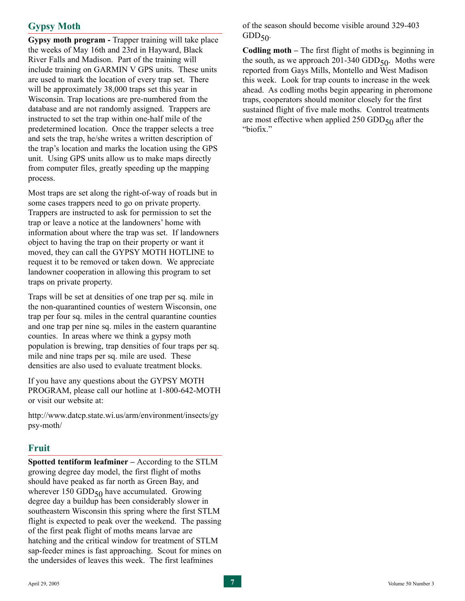# **Gypsy Moth**

**Gypsy moth program -** Trapper training will take place the weeks of May 16th and 23rd in Hayward, Black River Falls and Madison. Part of the training will include training on GARMIN V GPS units. These units are used to mark the location of every trap set. There will be approximately 38,000 traps set this year in Wisconsin. Trap locations are pre-numbered from the database and are not randomly assigned. Trappers are instructed to set the trap within one-half mile of the predetermined location. Once the trapper selects a tree and sets the trap, he/she writes a written description of the trap's location and marks the location using the GPS unit. Using GPS units allow us to make maps directly from computer files, greatly speeding up the mapping process.

Most traps are set along the right-of-way of roads but in some cases trappers need to go on private property. Trappers are instructed to ask for permission to set the trap or leave a notice at the landowners' home with information about where the trap was set. If landowners object to having the trap on their property or want it moved, they can call the GYPSY MOTH HOTLINE to request it to be removed or taken down. We appreciate landowner cooperation in allowing this program to set traps on private property.

Traps will be set at densities of one trap per sq. mile in the non-quarantined counties of western Wisconsin, one trap per four sq. miles in the central quarantine counties and one trap per nine sq. miles in the eastern quarantine counties. In areas where we think a gypsy moth population is brewing, trap densities of four traps per sq. mile and nine traps per sq. mile are used. These densities are also used to evaluate treatment blocks.

If you have any questions about the GYPSY MOTH PROGRAM, please call our hotline at 1-800-642-MOTH or visit our website at:

<http://www.datcp.state.wi.us/arm/environment/insects/gy> psy-moth/

#### **Fruit**

**Spotted tentiform leafminer –** According to the STLM growing degree day model, the first flight of moths should have peaked as far north as Green Bay, and wherever 150 GDD $_{50}$  have accumulated. Growing degree day a buildup has been considerably slower in southeastern Wisconsin this spring where the first STLM flight is expected to peak over the weekend. The passing of the first peak flight of moths means larvae are hatching and the critical window for treatment of STLM sap-feeder mines is fast approaching. Scout for mines on the undersides of leaves this week. The first leafmines

of the season should become visible around 329-403  $GDD_{50}$ .

**Codling moth –** The first flight of moths is beginning in the south, as we approach  $201-340$  GDD $_{50}$ . Moths were reported from Gays Mills, Montello and West Madison this week. Look for trap counts to increase in the week ahead. As codling moths begin appearing in pheromone traps, cooperators should monitor closely for the first sustained flight of five male moths. Control treatments are most effective when applied  $250$  GDD $_{50}$  after the "biofix."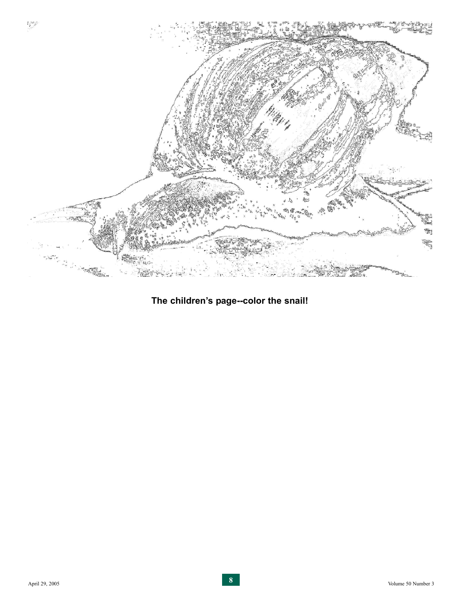

**The children's page--color the snail!**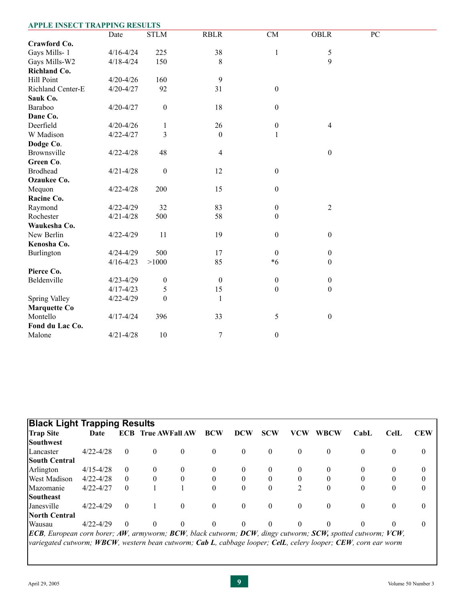| <b>APPLE INSECT TRAPPING RESULTS</b> |               |                  |                  |                  |                  |    |  |
|--------------------------------------|---------------|------------------|------------------|------------------|------------------|----|--|
|                                      | Date          | <b>STLM</b>      | <b>RBLR</b>      | CM               | <b>OBLR</b>      | PC |  |
| Crawford Co.                         |               |                  |                  |                  |                  |    |  |
| Gays Mills-1                         | $4/16 - 4/24$ | 225              | 38               | $\,1$            | 5                |    |  |
| Gays Mills-W2                        | $4/18 - 4/24$ | 150              | 8                |                  | 9                |    |  |
| Richland Co.                         |               |                  |                  |                  |                  |    |  |
| <b>Hill Point</b>                    | $4/20 - 4/26$ | 160              | 9                |                  |                  |    |  |
| Richland Center-E                    | $4/20 - 4/27$ | 92               | 31               | $\boldsymbol{0}$ |                  |    |  |
| Sauk Co.                             |               |                  |                  |                  |                  |    |  |
| Baraboo                              | $4/20 - 4/27$ | $\boldsymbol{0}$ | 18               | $\boldsymbol{0}$ |                  |    |  |
| Dane Co.                             |               |                  |                  |                  |                  |    |  |
| Deerfield                            | $4/20 - 4/26$ | 1                | 26               | $\boldsymbol{0}$ | 4                |    |  |
| W Madison                            | $4/22 - 4/27$ | 3                | $\theta$         | $\mathbf{1}$     |                  |    |  |
| Dodge Co.                            |               |                  |                  |                  |                  |    |  |
| Brownsville                          | $4/22 - 4/28$ | 48               | $\overline{4}$   |                  | $\boldsymbol{0}$ |    |  |
| Green Co.                            |               |                  |                  |                  |                  |    |  |
| <b>Brodhead</b>                      | $4/21 - 4/28$ | $\boldsymbol{0}$ | 12               | $\boldsymbol{0}$ |                  |    |  |
| Ozaukee Co.                          |               |                  |                  |                  |                  |    |  |
| Mequon                               | $4/22 - 4/28$ | 200              | 15               | $\boldsymbol{0}$ |                  |    |  |
| Racine Co.                           |               |                  |                  |                  |                  |    |  |
| Raymond                              | $4/22 - 4/29$ | 32               | 83               | $\boldsymbol{0}$ | $\overline{2}$   |    |  |
| Rochester                            | $4/21 - 4/28$ | 500              | 58               | $\boldsymbol{0}$ |                  |    |  |
| Waukesha Co.                         |               |                  |                  |                  |                  |    |  |
| New Berlin                           | $4/22 - 4/29$ | 11               | 19               | $\boldsymbol{0}$ | $\boldsymbol{0}$ |    |  |
| Kenosha Co.                          |               |                  |                  |                  |                  |    |  |
| Burlington                           | $4/24 - 4/29$ | 500              | 17               | $\boldsymbol{0}$ | $\boldsymbol{0}$ |    |  |
|                                      | $4/16 - 4/23$ | >1000            | 85               | $*6$             | $\boldsymbol{0}$ |    |  |
| Pierce Co.                           |               |                  |                  |                  |                  |    |  |
| Beldenville                          | $4/23 - 4/29$ | $\boldsymbol{0}$ | $\boldsymbol{0}$ | $\boldsymbol{0}$ | $\boldsymbol{0}$ |    |  |
|                                      | $4/17 - 4/23$ | 5                | 15               | $\boldsymbol{0}$ | $\boldsymbol{0}$ |    |  |
| Spring Valley                        | $4/22 - 4/29$ | $\boldsymbol{0}$ | $\mathbf{1}$     |                  |                  |    |  |
| <b>Marquette Co</b>                  |               |                  |                  |                  |                  |    |  |
| Montello                             | $4/17 - 4/24$ | 396              | 33               | $\sqrt{5}$       | $\boldsymbol{0}$ |    |  |
| Fond du Lac Co.                      |               |                  |                  |                  |                  |    |  |
| Malone                               | $4/21 - 4/28$ | 10               | $\boldsymbol{7}$ | $\boldsymbol{0}$ |                  |    |  |

| <b>Black Light Trapping Results</b>                                                                                                                |               |          |                           |          |            |          |                |                |             |          |             |                  |
|----------------------------------------------------------------------------------------------------------------------------------------------------|---------------|----------|---------------------------|----------|------------|----------|----------------|----------------|-------------|----------|-------------|------------------|
| <b>Trap Site</b>                                                                                                                                   | Date          |          | <b>ECB</b> True AWFall AW |          | <b>BCW</b> | DCW      | <b>SCW</b>     | VCW            | <b>WBCW</b> | $CabL$   | <b>CelL</b> | <b>CEW</b>       |
| <b>Southwest</b>                                                                                                                                   |               |          |                           |          |            |          |                |                |             |          |             |                  |
| Lancaster                                                                                                                                          | $4/22 - 4/28$ | $\theta$ | 0                         | $\bf{0}$ | $\theta$   | $\theta$ | $\overline{0}$ | $\theta$       | $\Omega$    | 0        | $\theta$    | $\bf{0}$         |
| <b>South Central</b>                                                                                                                               |               |          |                           |          |            |          |                |                |             |          |             |                  |
| Arlington                                                                                                                                          | $4/15 - 4/28$ | $\theta$ | 0                         | $\theta$ | $\theta$   | 0        | $\theta$       | 0              |             | 0        |             | $\bf{0}$         |
| <b>West Madison</b>                                                                                                                                | $4/22 - 4/28$ | $\theta$ | 0                         | $\theta$ |            | $\Omega$ | $\theta$       |                |             |          |             | $\boldsymbol{0}$ |
| Mazomanie                                                                                                                                          | $4/22 - 4/27$ | $\theta$ |                           |          |            | $\theta$ | $\overline{0}$ | $\mathfrak{D}$ | $\Omega$    | 0        | $\Omega$    | $\mathbf{0}$     |
| Southeast                                                                                                                                          |               |          |                           |          |            |          |                |                |             |          |             |                  |
| Janesville                                                                                                                                         | $4/22 - 4/29$ | $\theta$ |                           | $\theta$ | $\theta$   | $\theta$ | $\mathbf{0}$   | $\theta$       | $\Omega$    | $\theta$ | $\Omega$    | $\mathbf{0}$     |
| North Central                                                                                                                                      |               |          |                           |          |            |          |                |                |             |          |             |                  |
| Wausau                                                                                                                                             | $4/22 - 4/29$ | $\Omega$ | $\Omega$                  | $\Omega$ |            | $\Omega$ | $\theta$       | 0              |             | 0        |             | $\mathbf{0}$     |
| <b>ECB</b> , European corn borer; AW, armyworm; <b>BC</b> W, black cutworm; <b>DCW</b> , dingy cutworm; <b>SCW</b> , spotted cutworm; <b>VCW</b> , |               |          |                           |          |            |          |                |                |             |          |             |                  |
| [variegated cutworm; WBCW, western bean cutworm; Cab L, cabbage looper; CelL, celery looper; CEW, corn ear worm                                    |               |          |                           |          |            |          |                |                |             |          |             |                  |